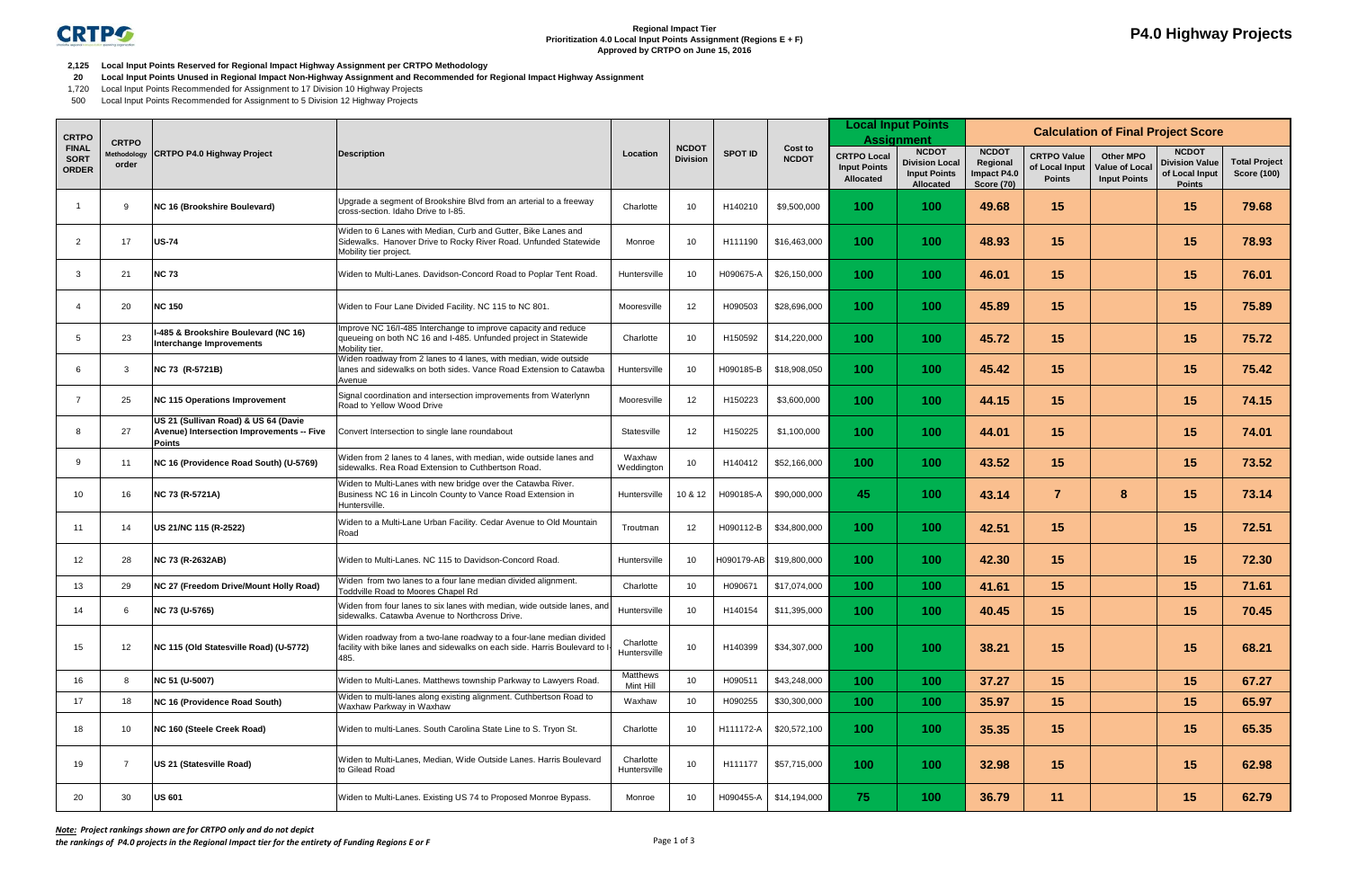

## **P4.0 Highway Projects**

**2,125 Local Input Points Reserved for Regional Impact Highway Assignment per CRTPO Methodology**

- **20 Local Input Points Unused in Regional Impact Non-Highway Assignment and Recommended for Regional Impact Highway Assignment**
- 1,720 Local Input Points Recommended for Assignment to 17 Division 10 Highway Projects
- 500 Local Input Points Recommended for Assignment to 5 Division 12 Highway Projects

| <b>CRTPO</b>                                | <b>CRTPO</b>         | <b>CRTPO P4.0 Highway Project</b>                                                                  |                                                                                                                                                             |                           |                                 |                |                         |                                                        | <b>Local Input Points</b><br><b>Assignment</b>                                   |                                                              |                                                       |                                                           | <b>Calculation of Final Project Score</b>                                |                                            |
|---------------------------------------------|----------------------|----------------------------------------------------------------------------------------------------|-------------------------------------------------------------------------------------------------------------------------------------------------------------|---------------------------|---------------------------------|----------------|-------------------------|--------------------------------------------------------|----------------------------------------------------------------------------------|--------------------------------------------------------------|-------------------------------------------------------|-----------------------------------------------------------|--------------------------------------------------------------------------|--------------------------------------------|
| <b>FINAL</b><br><b>SORT</b><br><b>ORDER</b> | Methodology<br>order |                                                                                                    | <b>Description</b>                                                                                                                                          | Location                  | <b>NCDOT</b><br><b>Division</b> | <b>SPOT ID</b> | Cost to<br><b>NCDOT</b> | <b>CRTPO Local</b><br><b>Input Points</b><br>Allocated | <b>NCDOT</b><br><b>Division Local</b><br><b>Input Points</b><br><b>Allocated</b> | <b>NCDOT</b><br>Regional<br>Impact P4.0<br><b>Score (70)</b> | <b>CRTPO Value</b><br>of Local Input<br><b>Points</b> | Other MPO<br><b>Value of Local</b><br><b>Input Points</b> | <b>NCDOT</b><br><b>Division Value</b><br>of Local Input<br><b>Points</b> | <b>Total Project</b><br><b>Score (100)</b> |
|                                             | 9                    | NC 16 (Brookshire Boulevard)                                                                       | Upgrade a segment of Brookshire Blvd from an arterial to a freeway<br>cross-section. Idaho Drive to I-85.                                                   | Charlotte                 | 10                              | H140210        | \$9,500,000             | 100                                                    | 100                                                                              | 49.68                                                        | 15                                                    |                                                           | 15                                                                       | 79.68                                      |
| $\overline{2}$                              | 17                   | <b>US-74</b>                                                                                       | Widen to 6 Lanes with Median, Curb and Gutter, Bike Lanes and<br>Sidewalks. Hanover Drive to Rocky River Road. Unfunded Statewide<br>Mobility tier project. | Monroe                    | 10                              | H111190        | \$16,463,000            | 100                                                    | 100                                                                              | 48.93                                                        | 15                                                    |                                                           | 15                                                                       | 78.93                                      |
| 3                                           | 21                   | <b>NC 73</b>                                                                                       | Widen to Multi-Lanes. Davidson-Concord Road to Poplar Tent Road.                                                                                            | Huntersville              | 10                              | H090675-A      | \$26,150,000            | 100                                                    | 100 <sub>1</sub>                                                                 | 46.01                                                        | 15                                                    |                                                           | 15                                                                       | 76.01                                      |
|                                             | 20                   | <b>NC 150</b>                                                                                      | Widen to Four Lane Divided Facility. NC 115 to NC 801.                                                                                                      | Mooresville               | 12                              | H090503        | \$28,696,000            | 100                                                    | 100                                                                              | 45.89                                                        | 15                                                    |                                                           | 15                                                                       | 75.89                                      |
|                                             | 23                   | I-485 & Brookshire Boulevard (NC 16)<br>Interchange Improvements                                   | Improve NC 16/I-485 Interchange to improve capacity and reduce<br>queueing on both NC 16 and I-485. Unfunded project in Statewide<br>Mobility tier.         | Charlotte                 | 10                              | H150592        | \$14,220,000            | 100                                                    | 100                                                                              | 45.72                                                        | 15                                                    |                                                           | 15                                                                       | 75.72                                      |
| 6                                           | 3                    | NC 73 (R-5721B)                                                                                    | Widen roadway from 2 lanes to 4 lanes, with median, wide outside<br>lanes and sidewalks on both sides. Vance Road Extension to Catawba<br>Avenue            | Huntersville              | 10                              | H090185-B      | \$18,908,050            | 100                                                    | 100 <sub>1</sub>                                                                 | 45.42                                                        | 15                                                    |                                                           | 15                                                                       | 75.42                                      |
|                                             | 25                   | <b>NC 115 Operations Improvement</b>                                                               | Signal coordination and intersection improvements from Waterlynn<br>Road to Yellow Wood Drive                                                               | Mooresville               | 12                              | H150223        | \$3,600,000             | 100                                                    | 100                                                                              | 44.15                                                        | 15                                                    |                                                           | 15                                                                       | 74.15                                      |
| 8                                           | 27                   | US 21 (Sullivan Road) & US 64 (Davie<br>Avenue) Intersection Improvements -- Five<br><b>Points</b> | Convert Intersection to single lane roundabout                                                                                                              | Statesville               | 12                              | H150225        | \$1,100,000             | 100                                                    | 100                                                                              | 44.01                                                        | 15                                                    |                                                           | 15                                                                       | 74.01                                      |
| 9                                           | 11                   | NC 16 (Providence Road South) (U-5769)                                                             | Widen from 2 lanes to 4 lanes, with median, wide outside lanes and<br>sidewalks. Rea Road Extension to Cuthbertson Road.                                    | Waxhaw<br>Weddington      | 10                              | H140412        | \$52,166,000            | 100                                                    | 100                                                                              | 43.52                                                        | 15                                                    |                                                           | 15                                                                       | 73.52                                      |
| 10                                          | 16                   | <b>NC 73 (R-5721A)</b>                                                                             | Widen to Multi-Lanes with new bridge over the Catawba River.<br>Business NC 16 in Lincoln County to Vance Road Extension in<br>Huntersville.                | Huntersville              | 10 & 12                         | H090185-A      | \$90,000,000            | 45                                                     | 100 <sub>1</sub>                                                                 | 43.14                                                        | $\overline{7}$                                        | 8                                                         | 15                                                                       | 73.14                                      |
| 11                                          | 14                   | US 21/NC 115 (R-2522)                                                                              | Widen to a Multi-Lane Urban Facility. Cedar Avenue to Old Mountain<br>Road                                                                                  | Troutman                  | 12                              | H090112-B      | \$34,800,000            | 100                                                    | 100 <sub>1</sub>                                                                 | 42.51                                                        | 15                                                    |                                                           | 15                                                                       | 72.51                                      |
| 12 <sup>°</sup>                             | 28                   | NC 73 (R-2632AB)                                                                                   | Widen to Multi-Lanes. NC 115 to Davidson-Concord Road.                                                                                                      | Huntersville              | 10                              | H090179-AB     | \$19,800,000            | 100                                                    | 100 <sub>1</sub>                                                                 | 42.30                                                        | 15                                                    |                                                           | 15                                                                       | 72.30                                      |
| 13                                          | 29                   | NC 27 (Freedom Drive/Mount Holly Road)                                                             | Widen from two lanes to a four lane median divided alignment.<br>Toddville Road to Moores Chapel Rd                                                         | Charlotte                 | 10                              | H090671        | \$17,074,000            | 100                                                    | 100                                                                              | 41.61                                                        | 15                                                    |                                                           | 15                                                                       | 71.61                                      |
| 14                                          | 6                    | NC 73 (U-5765)                                                                                     | Widen from four lanes to six lanes with median, wide outside lanes, and<br>sidewalks. Catawba Avenue to Northcross Drive.                                   | Huntersville              | 10                              | H140154        | \$11,395,000            | 100                                                    | 100                                                                              | 40.45                                                        | 15                                                    |                                                           | 15                                                                       | 70.45                                      |
| 15                                          | 12                   | NC 115 (Old Statesville Road) (U-5772)                                                             | Widen roadway from a two-lane roadway to a four-lane median divided<br>facility with bike lanes and sidewalks on each side. Harris Boulevard to<br>485.     | Charlotte<br>Huntersville | 10                              | H140399        | \$34,307,000            | 100                                                    | 100 <sub>1</sub>                                                                 | 38.21                                                        | 15                                                    |                                                           | 15                                                                       | 68.21                                      |
| 16                                          | 8                    | NC 51 (U-5007)                                                                                     | Widen to Multi-Lanes. Matthews township Parkway to Lawyers Road.                                                                                            | Matthews<br>Mint Hill     | 10                              | H090511        | \$43,248,000            | 100 <sub>1</sub>                                       | 100 <sub>1</sub>                                                                 | 37.27                                                        | 15                                                    |                                                           | 15                                                                       | 67.27                                      |
| 17                                          | 18                   | NC 16 (Providence Road South)                                                                      | Widen to multi-lanes along existing alignment. Cuthbertson Road to<br>Waxhaw Parkway in Waxhaw                                                              | Waxhaw                    | 10                              | H090255        | \$30,300,000            | 100                                                    | 100 <sub>1</sub>                                                                 | 35.97                                                        | 15                                                    |                                                           | 15                                                                       | 65.97                                      |
| 18                                          | 10                   | NC 160 (Steele Creek Road)                                                                         | Widen to multi-Lanes. South Carolina State Line to S. Tryon St.                                                                                             | Charlotte                 | 10                              | H111172-A      | \$20,572,100            | 100                                                    | 100                                                                              | 35.35                                                        | 15                                                    |                                                           | 15                                                                       | 65.35                                      |
| 19                                          | $\overline{7}$       | US 21 (Statesville Road)                                                                           | Widen to Multi-Lanes, Median, Wide Outside Lanes. Harris Boulevard<br>to Gilead Road                                                                        | Charlotte<br>Huntersville | 10                              | H111177        | \$57,715,000            | 100                                                    | 100 <sub>1</sub>                                                                 | 32.98                                                        | 15                                                    |                                                           | 15                                                                       | 62.98                                      |
| 20                                          | 30                   | <b>US 601</b>                                                                                      | Widen to Multi-Lanes. Existing US 74 to Proposed Monroe Bypass.                                                                                             | Monroe                    | 10                              | H090455-A      | \$14,194,000            | 75                                                     | 100                                                                              | 36.79                                                        | 11                                                    |                                                           | <b>15</b>                                                                | 62.79                                      |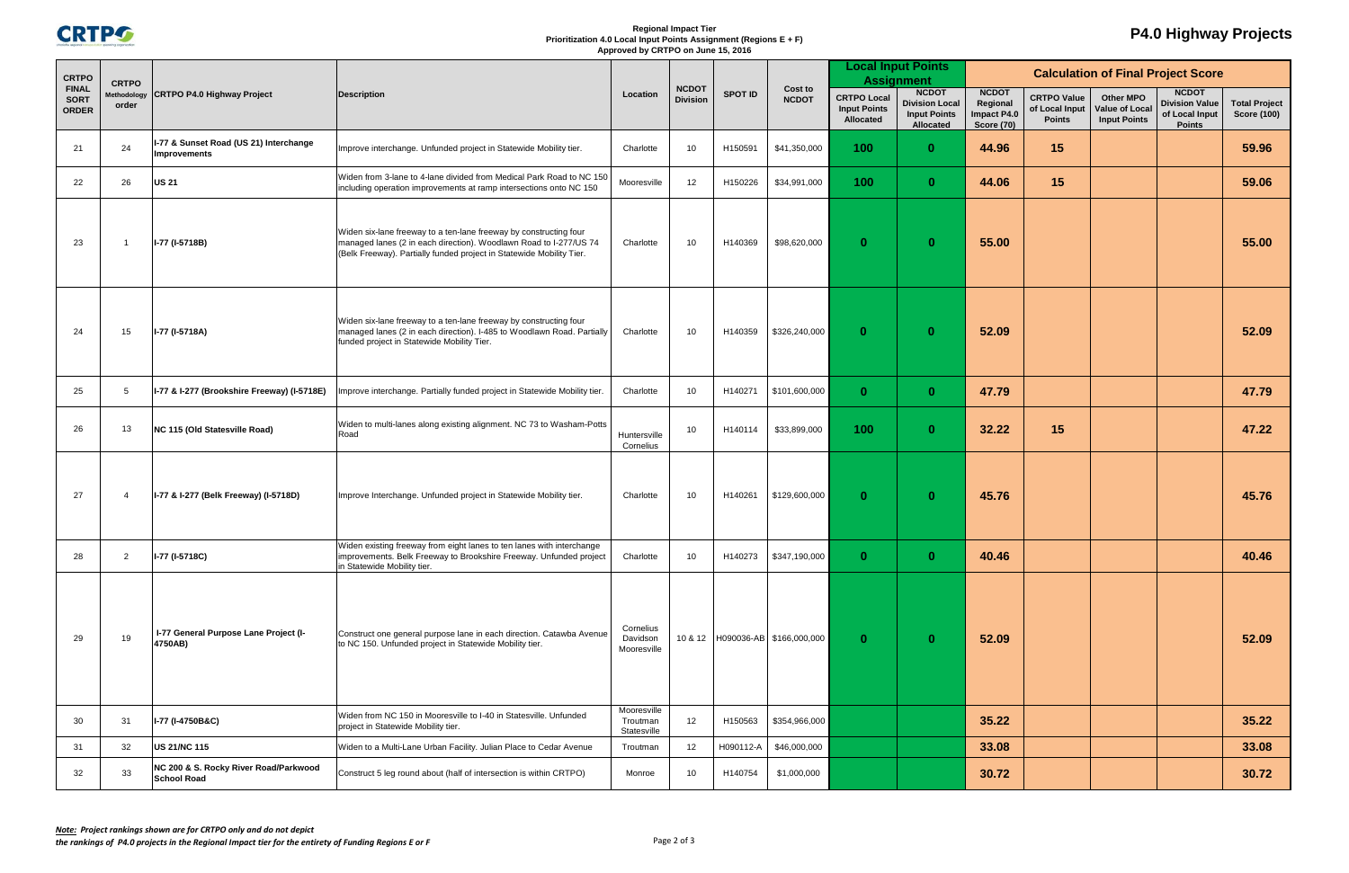

# **P4.0 Highway Projects**

|                                             |                      | CRTPO P4.0 Highway Project                                  |                                                                                                                                                                                                                |                                        | Apploaded by SKIT Starband 18, 2010<br><b>Local Input Points</b> |                |                                      |                                                        |                                                                           |                                                              |                                                       |                                                           |                                                                          |                                            |
|---------------------------------------------|----------------------|-------------------------------------------------------------|----------------------------------------------------------------------------------------------------------------------------------------------------------------------------------------------------------------|----------------------------------------|------------------------------------------------------------------|----------------|--------------------------------------|--------------------------------------------------------|---------------------------------------------------------------------------|--------------------------------------------------------------|-------------------------------------------------------|-----------------------------------------------------------|--------------------------------------------------------------------------|--------------------------------------------|
| <b>CRTPO</b>                                | <b>CRTPO</b>         |                                                             | <b>Description</b>                                                                                                                                                                                             |                                        |                                                                  |                | <b>Assignment</b>                    |                                                        |                                                                           |                                                              | <b>Calculation of Final Project Score</b>             |                                                           |                                                                          |                                            |
| <b>FINAL</b><br><b>SORT</b><br><b>ORDER</b> | Methodology<br>order |                                                             |                                                                                                                                                                                                                | Location                               | <b>NCDOT</b><br><b>Division</b>                                  | <b>SPOT ID</b> | Cost to<br><b>NCDOT</b>              | <b>CRTPO Local</b><br><b>Input Points</b><br>Allocated | <b>NCDOT</b><br><b>Division Local</b><br><b>Input Points</b><br>Allocated | <b>NCDOT</b><br>Regional<br>Impact P4.0<br><b>Score (70)</b> | <b>CRTPO Value</b><br>of Local Input<br><b>Points</b> | Other MPO<br><b>Value of Local</b><br><b>Input Points</b> | <b>NCDOT</b><br><b>Division Value</b><br>of Local Input<br><b>Points</b> | <b>Total Project</b><br><b>Score (100)</b> |
| 21                                          | 24                   | I-77 & Sunset Road (US 21) Interchange<br>Improvements      | Improve interchange. Unfunded project in Statewide Mobility tier.                                                                                                                                              | Charlotte                              | 10                                                               | H150591        | \$41,350,000                         | 100                                                    | $\mathbf{0}$                                                              | 44.96                                                        | 15                                                    |                                                           |                                                                          | 59.96                                      |
| 22                                          | 26                   | <b>US 21</b>                                                | Widen from 3-lane to 4-lane divided from Medical Park Road to NC 150<br>including operation improvements at ramp intersections onto NC 150                                                                     | Mooresville                            | 12                                                               | H150226        | \$34,991,000                         | 100                                                    | $\bf{0}$                                                                  | 44.06                                                        | 15                                                    |                                                           |                                                                          | 59.06                                      |
| 23                                          |                      | I-77 (I-5718B)                                              | Widen six-lane freeway to a ten-lane freeway by constructing four<br>managed lanes (2 in each direction). Woodlawn Road to I-277/US 74<br>(Belk Freeway). Partially funded project in Statewide Mobility Tier. | Charlotte                              | 10                                                               | H140369        | \$98,620,000                         | $\mathbf{0}$                                           | $\mathbf{0}$                                                              | 55.00                                                        |                                                       |                                                           |                                                                          | 55.00                                      |
| -24                                         | 15                   | I-77 (I-5718A)                                              | Widen six-lane freeway to a ten-lane freeway by constructing four<br>managed lanes (2 in each direction). I-485 to Woodlawn Road. Partially<br>funded project in Statewide Mobility Tier.                      | Charlotte                              | 10                                                               | H140359        | \$326,240,000                        | $\mathbf{0}$                                           | $\bf{0}$                                                                  | 52.09                                                        |                                                       |                                                           |                                                                          | 52.09                                      |
| 25                                          | 5                    | 1-77 & I-277 (Brookshire Freeway) (I-5718E)                 | Improve interchange. Partially funded project in Statewide Mobility tier.                                                                                                                                      | Charlotte                              | -10                                                              | H140271        | \$101,600,000                        | $\mathbf{0}$                                           | $\mathbf{0}$                                                              | 47.79                                                        |                                                       |                                                           |                                                                          | 47.79                                      |
| 26                                          | 13                   | NC 115 (Old Statesville Road)                               | Widen to multi-lanes along existing alignment. NC 73 to Washam-Potts<br>Road                                                                                                                                   | Huntersville<br>Cornelius              | 10                                                               | H140114        | \$33,899,000                         | 100                                                    | $\mathbf{0}$                                                              | 32.22                                                        | 15                                                    |                                                           |                                                                          | 47.22                                      |
| 27                                          | $\overline{4}$       | I-77 & I-277 (Belk Freeway) (I-5718D)                       | Improve Interchange. Unfunded project in Statewide Mobility tier.                                                                                                                                              | Charlotte                              | 10                                                               | H140261        | \$129,600,000                        | $\bf{0}$                                               | $\bf{0}$                                                                  | 45.76                                                        |                                                       |                                                           |                                                                          | 45.76                                      |
| 28                                          | 2                    | I-77 (I-5718C)                                              | Widen existing freeway from eight lanes to ten lanes with interchange<br>improvements. Belk Freeway to Brookshire Freeway. Unfunded project<br>in Statewide Mobility tier.                                     | Charlotte                              | 10                                                               | H140273        | \$347,190,000                        | $\mathbf{0}$                                           | $\mathbf{0}$                                                              | 40.46                                                        |                                                       |                                                           |                                                                          | 40.46                                      |
| 29                                          | 19                   | I-77 General Purpose Lane Project (I-<br>4750AB)            | Construct one general purpose lane in each direction. Catawba Avenue<br>to NC 150. Unfunded project in Statewide Mobility tier.                                                                                | Cornelius<br>Davidson<br>Mooresville   |                                                                  |                | 10 & 12   H090036-AB   \$166,000,000 | $\bf{0}$                                               | $\mathbf{0}$                                                              | 52.09                                                        |                                                       |                                                           |                                                                          | 52.09                                      |
| 30                                          | 31                   | I-77 (I-4750B&C)                                            | Widen from NC 150 in Mooresville to I-40 in Statesville. Unfunded<br>project in Statewide Mobility tier.                                                                                                       | Mooresville<br>Troutman<br>Statesville | 12                                                               | H150563        | \$354,966,000                        |                                                        |                                                                           | 35.22                                                        |                                                       |                                                           |                                                                          | 35.22                                      |
| 31                                          | 32                   | <b>US 21/NC 115</b>                                         | Widen to a Multi-Lane Urban Facility. Julian Place to Cedar Avenue                                                                                                                                             | Troutman                               | 12                                                               | H090112-A      | \$46,000,000                         |                                                        |                                                                           | 33.08                                                        |                                                       |                                                           |                                                                          | 33.08                                      |
| 32                                          | 33                   | NC 200 & S. Rocky River Road/Parkwood<br><b>School Road</b> | Construct 5 leg round about (half of intersection is within CRTPO)                                                                                                                                             | Monroe                                 | 10                                                               | H140754        | \$1,000,000                          |                                                        |                                                                           | 30.72                                                        |                                                       |                                                           |                                                                          | 30.72                                      |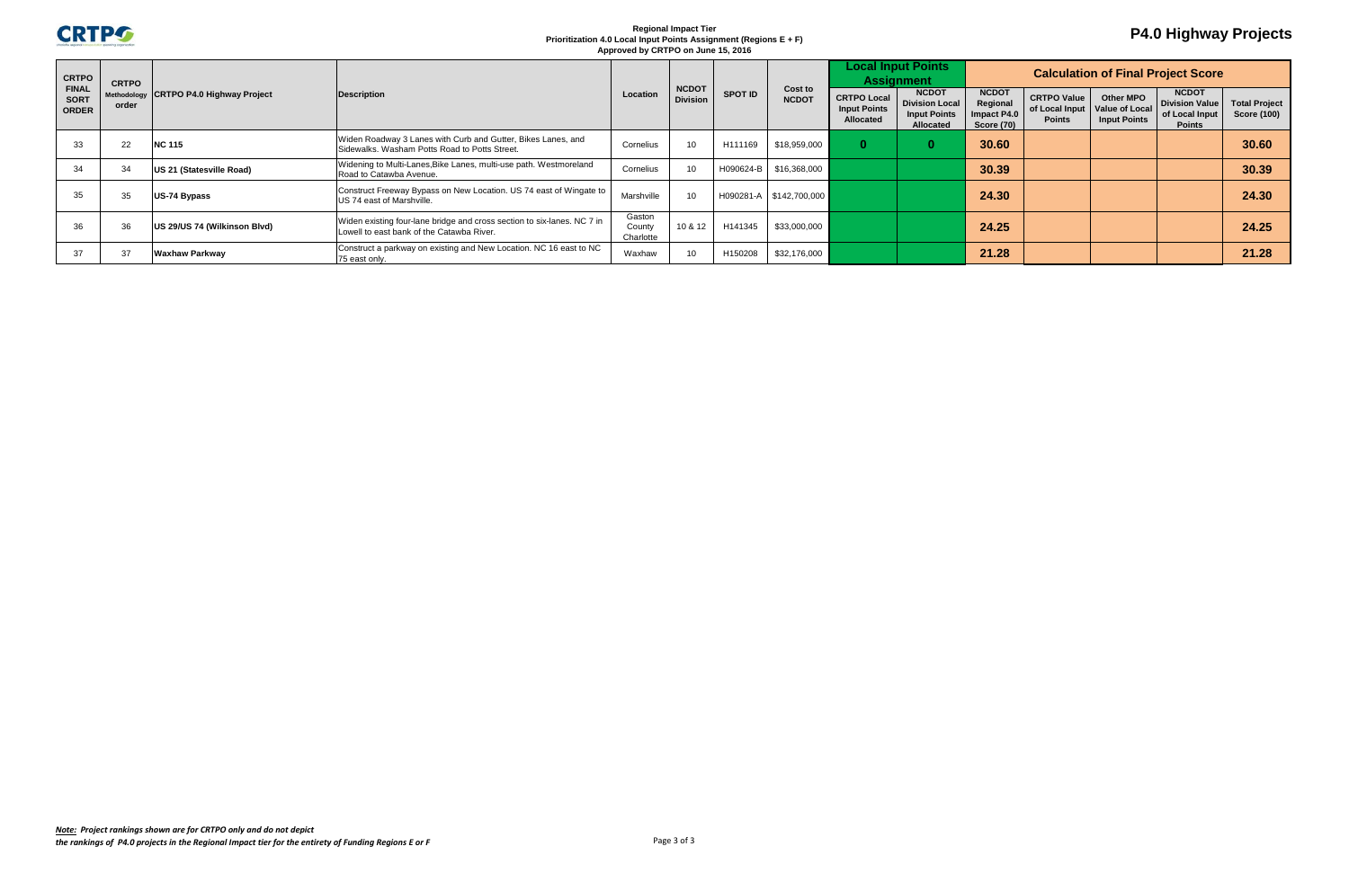

## **P4.0 Highway Projects**

| <b>CRTPO</b><br><b>FINAL</b><br><b>SORT</b><br><b>ORDER</b> | <b>CRTPO</b>         | CRTPO P4.0 Highway Project   | Description                                                                                                          |                               |                                 |                |                           |                                                               | <b>Local Input Points</b><br><b>Assignment</b>                       | <b>Calculation of Final Project Score</b>                    |                                                                        |                                  |                                                                          |                                            |  |
|-------------------------------------------------------------|----------------------|------------------------------|----------------------------------------------------------------------------------------------------------------------|-------------------------------|---------------------------------|----------------|---------------------------|---------------------------------------------------------------|----------------------------------------------------------------------|--------------------------------------------------------------|------------------------------------------------------------------------|----------------------------------|--------------------------------------------------------------------------|--------------------------------------------|--|
|                                                             | Methodology<br>order |                              |                                                                                                                      | Location                      | <b>NCDOT</b><br><b>Division</b> | <b>SPOT ID</b> | Cost to<br><b>NCDOT</b>   | <b>CRTPO Local</b><br><b>Input Points</b><br><b>Allocated</b> | <b>NCDOT</b><br>Division Local '<br><b>Input Points</b><br>Allocated | <b>NCDOT</b><br>Regional<br>Impact P4.0<br><b>Score (70)</b> | <b>CRTPO Value</b><br>of Local Input   Value of Local<br><b>Points</b> | Other MPO<br><b>Input Points</b> | <b>NCDOT</b><br><b>Division Value</b><br>of Local Input<br><b>Points</b> | <b>Total Project</b><br><b>Score (100)</b> |  |
| 33                                                          | 22                   | <b>NC 115</b>                | Widen Roadway 3 Lanes with Curb and Gutter, Bikes Lanes, and<br>Sidewalks. Washam Potts Road to Potts Street.        | Cornelius                     | 10                              | H111169        | \$18,959,000              |                                                               |                                                                      | 30.60                                                        |                                                                        |                                  |                                                                          | 30.60                                      |  |
|                                                             | 34                   | US 21 (Statesville Road)     | Widening to Multi-Lanes, Bike Lanes, multi-use path. Westmoreland<br>Road to Catawba Avenue.                         | Cornelius                     | 10                              |                | H090624-B   \$16,368,000  |                                                               |                                                                      | 30.39                                                        |                                                                        |                                  |                                                                          | 30.39                                      |  |
| 35                                                          | 35                   | US-74 Bypass                 | Construct Freeway Bypass on New Location. US 74 east of Wingate to<br>US 74 east of Marshville.                      | Marshville                    | 10                              |                | H090281-A   \$142,700,000 |                                                               |                                                                      | 24.30                                                        |                                                                        |                                  |                                                                          | 24.30                                      |  |
| 36                                                          | 36                   | US 29/US 74 (Wilkinson Blvd) | Widen existing four-lane bridge and cross section to six-lanes. NC 7 in<br>Lowell to east bank of the Catawba River. | Gaston<br>County<br>Charlotte | 10 & 12                         | H141345        | \$33,000,000              |                                                               |                                                                      | 24.25                                                        |                                                                        |                                  |                                                                          | 24.25                                      |  |
|                                                             | 37                   | <b>Waxhaw Parkway</b>        | Construct a parkway on existing and New Location. NC 16 east to NC<br>75 east only.                                  | Waxhaw                        | 10                              | H150208        | \$32,176,000              |                                                               |                                                                      | 21.28                                                        |                                                                        |                                  |                                                                          | 21.28                                      |  |